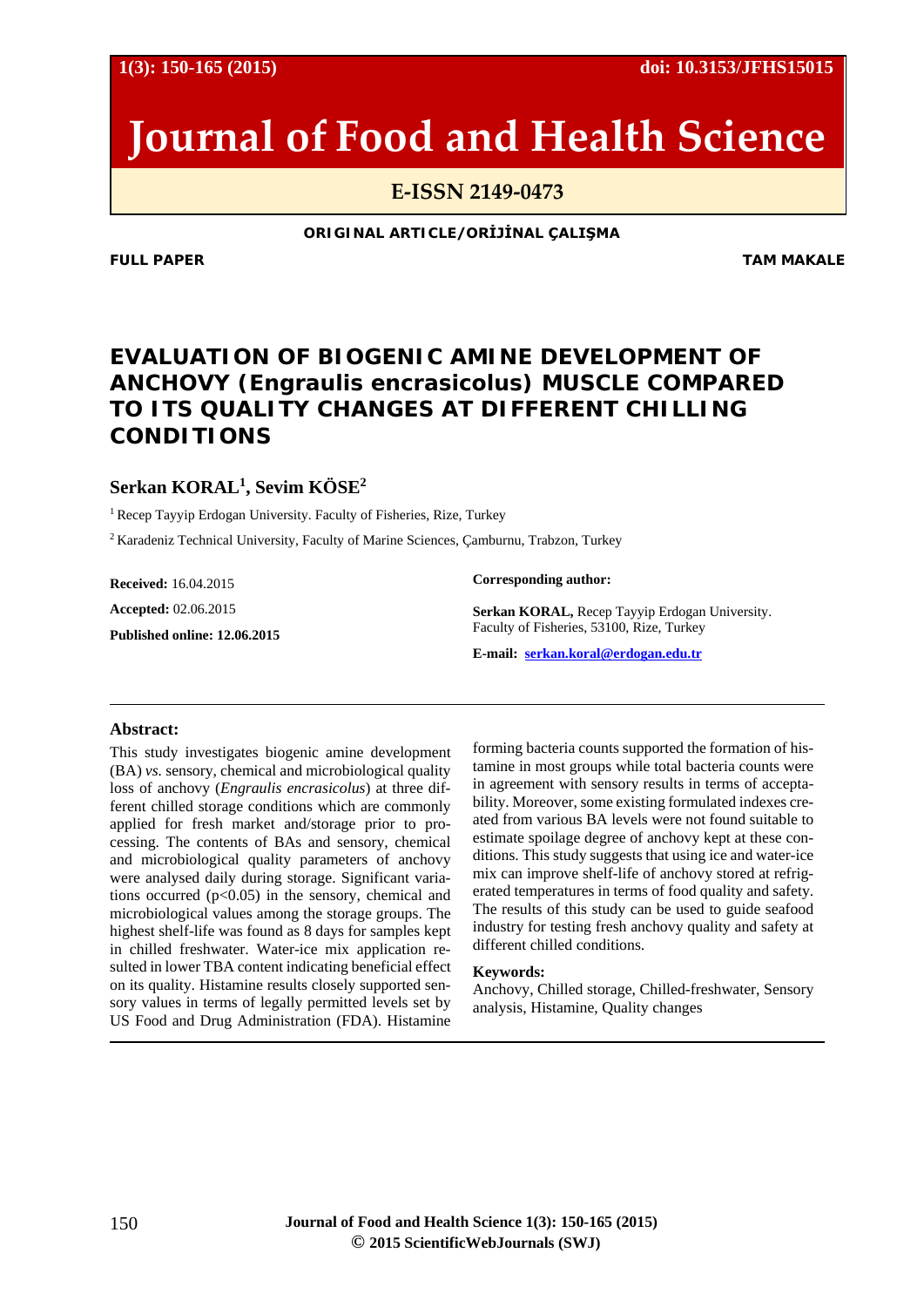**1(3): 150-165 (2015) doi: 10.3153/JFHS15015**

# **Journal of Food and Health Science**

**E-ISSN 2149-0473**

**ORIGINAL ARTICLE/ORİJİNAL ÇALIŞMA**

**FULL PAPER** TAM MAKALE

# **EVALUATION OF BIOGENIC AMINE DEVELOPMENT OF ANCHOVY (***Engraulis encrasicolus***) MUSCLE COMPARED TO ITS QUALITY CHANGES AT DIFFERENT CHILLING CONDITIONS**

# **Serkan KORAL1 , Sevim KÖSE2**

<sup>1</sup> Recep Tayyip Erdogan University. Faculty of Fisheries, Rize, Turkey

2 Karadeniz Technical University, Faculty of Marine Sciences, Çamburnu, Trabzon, Turkey

**Received:** 16.04.2015 **Accepted:** 02.06.2015 **Published online: 12.06.2015** **Corresponding author:**

**Serkan KORAL,** Recep Tayyip Erdogan University. Faculty of Fisheries, 53100, Rize, Turkey

**E-mail: [serkan.koral@erdogan.edu.tr](mailto:serkan.koral@erdogan.edu.tr)**

## **Abstract:**

This study investigates biogenic amine development (BA) *vs.* sensory, chemical and microbiological quality loss of anchovy (*Engraulis encrasicolus*) at three different chilled storage conditions which are commonly applied for fresh market and/storage prior to processing. The contents of BAs and sensory, chemical and microbiological quality parameters of anchovy were analysed daily during storage. Significant variations occurred  $(p<0.05)$  in the sensory, chemical and microbiological values among the storage groups. The highest shelf-life was found as 8 days for samples kept in chilled freshwater. Water-ice mix application resulted in lower TBA content indicating beneficial effect on its quality. Histamine results closely supported sensory values in terms of legally permitted levels set by US Food and Drug Administration (FDA). Histamine

forming bacteria counts supported the formation of histamine in most groups while total bacteria counts were in agreement with sensory results in terms of acceptability. Moreover, some existing formulated indexes created from various BA levels were not found suitable to estimate spoilage degree of anchovy kept at these conditions. This study suggests that using ice and water-ice mix can improve shelf-life of anchovy stored at refrigerated temperatures in terms of food quality and safety. The results of this study can be used to guide seafood industry for testing fresh anchovy quality and safety at different chilled conditions.

#### **Keywords:**

Anchovy, Chilled storage, Chilled-freshwater, Sensory analysis, Histamine, Quality changes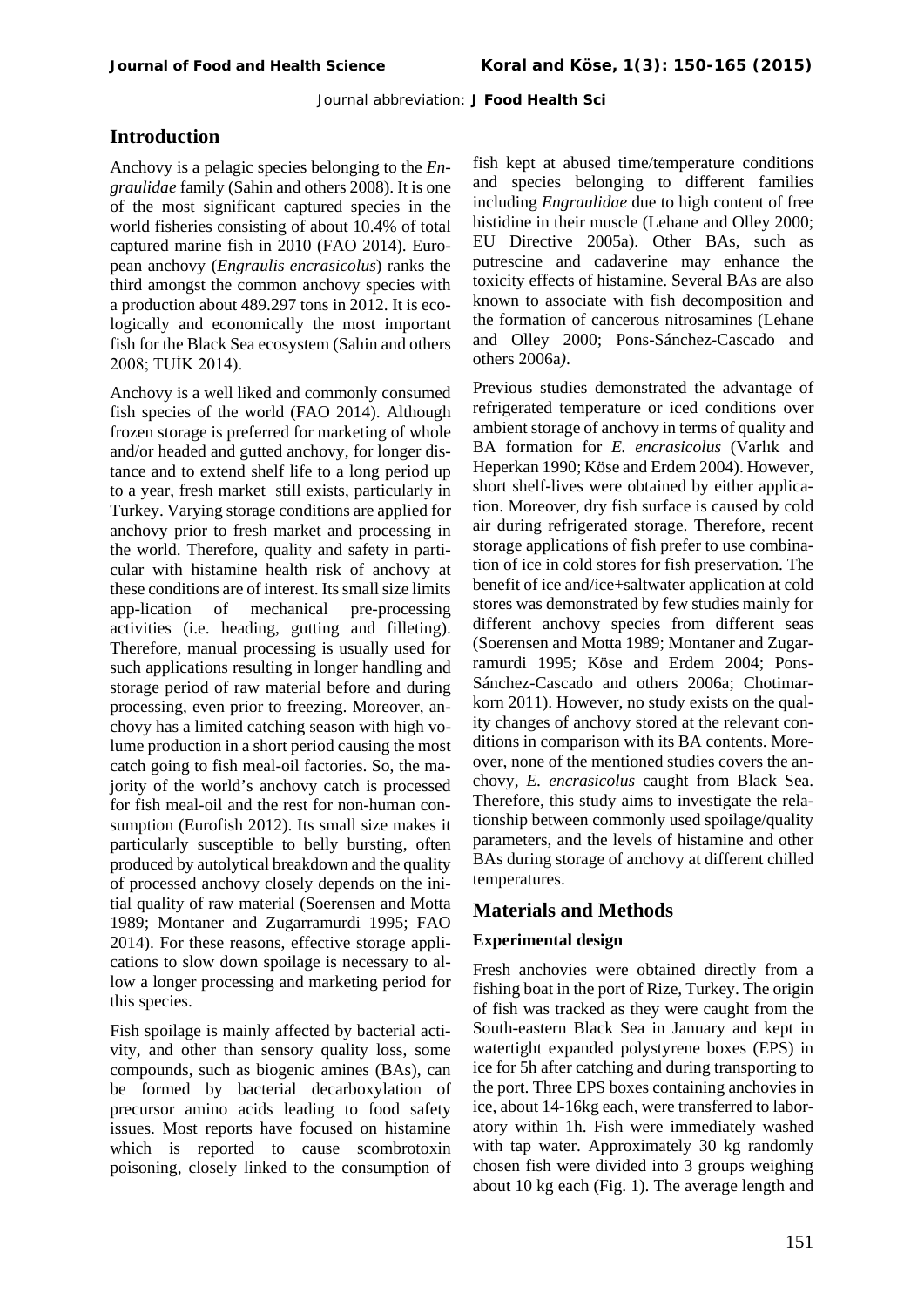# **Introduction**

Anchovy is a pelagic species belonging to the *Engraulidae* family (Sahin and others 2008). It is one of the most significant captured species in the world fisheries consisting of about 10.4% of total captured marine fish in 2010 (FAO 2014). European anchovy (*Engraulis encrasicolus*) ranks the third amongst the common anchovy species with a production about 489.297 tons in 2012. It is ecologically and economically the most important fish for the Black Sea ecosystem (Sahin and others 2008; TUİK 2014).

Anchovy is a well liked and commonly consumed fish species of the world (FAO 2014). Although frozen storage is preferred for marketing of whole and/or headed and gutted anchovy, for longer distance and to extend shelf life to a long period up to a year, fresh market still exists, particularly in Turkey. Varying storage conditions are applied for anchovy prior to fresh market and processing in the world. Therefore, quality and safety in particular with histamine health risk of anchovy at these conditions are of interest. Its small size limits app-lication of mechanical pre-processing activities (i.e. heading, gutting and filleting). Therefore, manual processing is usually used for such applications resulting in longer handling and storage period of raw material before and during processing, even prior to freezing. Moreover, anchovy has a limited catching season with high volume production in a short period causing the most catch going to fish meal-oil factories. So, the majority of the world's anchovy catch is processed for fish meal-oil and the rest for non-human consumption (Eurofish 2012). Its small size makes it particularly susceptible to belly bursting, often produced by autolytical breakdown and the quality of processed anchovy closely depends on the initial quality of raw material [\(Soerensen and](http://csaweb116v.csa.com/ids70/p_search_form.php?field=au&query=soerensen+nk&log=literal&SID=cc3pr7g3pjdpq0dk0urk7j64l4) [Motta](http://csaweb116v.csa.com/ids70/p_search_form.php?field=au&query=motta+h&log=literal&SID=cc3pr7g3pjdpq0dk0urk7j64l4)  1989; [Montaner](http://europepmc.org/search/?page=1&query=AUTH:%22Montaner+MI%22) and [Zugarramurdi 1995;](http://europepmc.org/search/?page=1&query=AUTH:%22Zugarramurdi+A%22) FAO 2014). For these reasons, effective storage applications to slow down spoilage is necessary to allow a longer processing and marketing period for this species.

Fish spoilage is mainly affected by bacterial activity, and other than sensory quality loss, some compounds, such as biogenic amines (BAs), can be formed by bacterial decarboxylation of precursor amino acids leading to food safety issues. Most reports have focused on histamine which is reported to cause scombrotoxin poisoning, closely linked to the consumption of fish kept at abused time/temperature conditions and species belonging to different families including *Engraulidae* due to high content of free histidine in their muscle (Lehane and Olley 2000; EU Directive 2005a). Other BAs, such as putrescine and cadaverine may enhance the toxicity effects of histamine. Several BAs are also known to associate with fish decomposition and the formation of cancerous nitrosamines (Lehane and Olley 2000; Pons-Sánchez-Cascado and others 2006a*)*.

Previous studies demonstrated the advantage of refrigerated temperature or iced conditions over ambient storage of anchovy in terms of quality and BA formation for *E. encrasicolus* ([Varlık](http://csaweb116v.csa.com/ids70/p_search_form.php?field=au&query=varlik+c&log=literal&SID=cc3pr7g3pjdpq0dk0urk7j64l4) and Heperkan 1990; [Köse and Erdem 2004\)](http://csaweb116v.csa.com/ids70/p_search_form.php?field=au&query=heperkan+d&log=literal&SID=cc3pr7g3pjdpq0dk0urk7j64l4). However, short shelf-lives were obtained by either application. Moreover, dry fish surface is caused by cold air during refrigerated storage. Therefore, recent storage applications of fish prefer to use combination of ice in cold stores for fish preservation. The benefit of ice and/ice+saltwater application at cold stores was demonstrated by few studies mainly for different anchovy species from different seas [\(Soerensen and](http://csaweb116v.csa.com/ids70/p_search_form.php?field=au&query=soerensen+nk&log=literal&SID=cc3pr7g3pjdpq0dk0urk7j64l4) [Motta 1](http://csaweb116v.csa.com/ids70/p_search_form.php?field=au&query=motta+h&log=literal&SID=cc3pr7g3pjdpq0dk0urk7j64l4)989; [Montaner](http://europepmc.org/search/?page=1&query=AUTH:%22Montaner+MI%22) and [Zugar](http://europepmc.org/search/?page=1&query=AUTH:%22Zugarramurdi+A%22)[ramurdi 1995;](http://europepmc.org/search/?page=1&query=AUTH:%22Zugarramurdi+A%22) Köse and Erdem 2004; Pons-Sánchez-Cascado and others 2006a; Chotimarkorn 2011). However, no study exists on the quality changes of anchovy stored at the relevant conditions in comparison with its BA contents. Moreover, none of the mentioned studies covers the anchovy, *E. encrasicolus* caught from Black Sea. Therefore, this study aims to investigate the relationship between commonly used spoilage/quality parameters, and the levels of histamine and other BAs during storage of anchovy at different chilled temperatures.

# **Materials and Methods**

# **Experimental design**

Fresh anchovies were obtained directly from a fishing boat in the port of Rize, Turkey. The origin of fish was tracked as they were caught from the South-eastern Black Sea in January and kept in watertight expanded polystyrene boxes (EPS) in ice for 5h after catching and during transporting to the port. Three EPS boxes containing anchovies in ice, about 14-16kg each, were transferred to laboratory within 1h. Fish were immediately washed with tap water. Approximately 30 kg randomly chosen fish were divided into 3 groups weighing about 10 kg each (Fig. 1). The average length and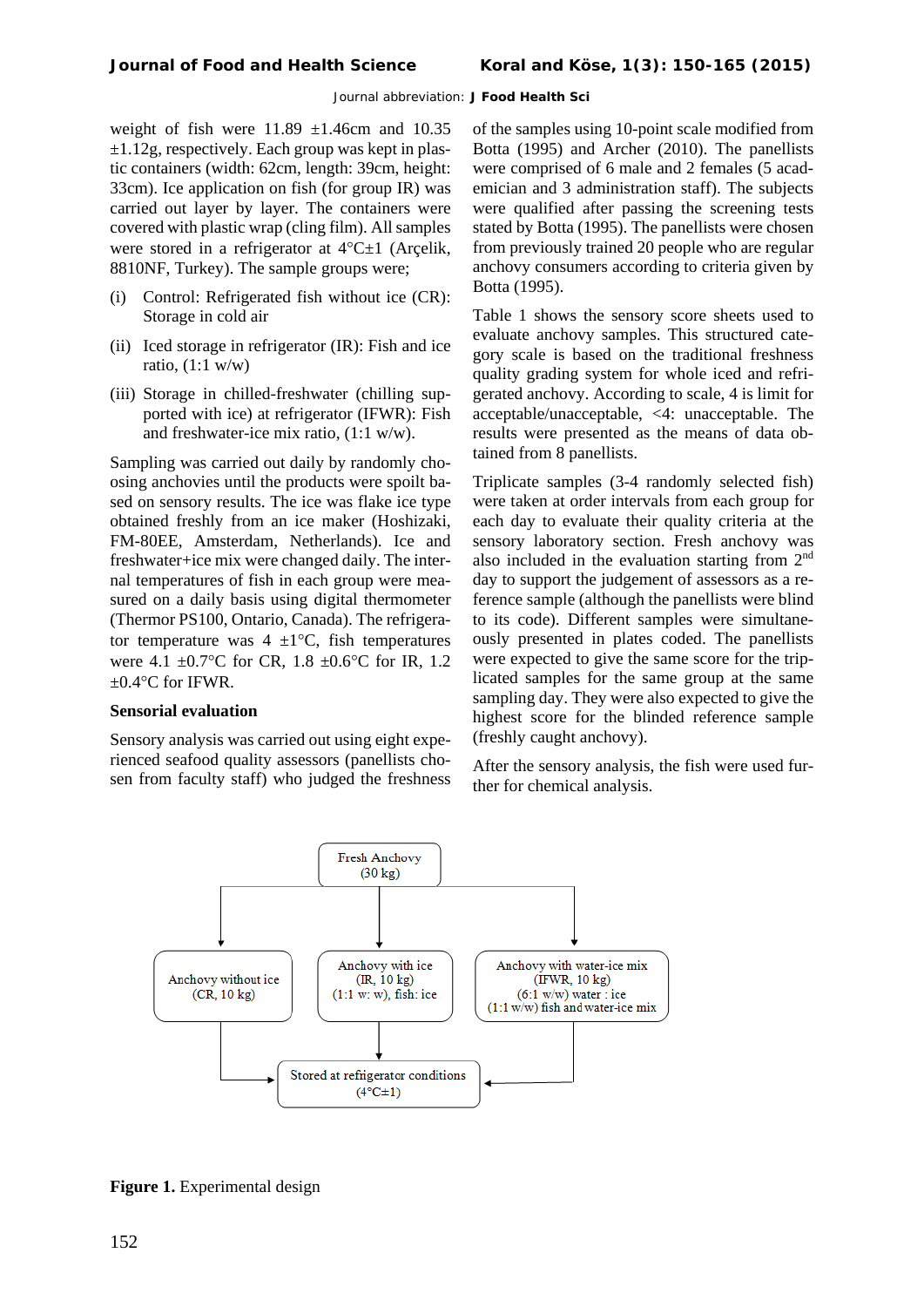weight of fish were  $11.89 \pm 1.46$ cm and  $10.35$  $\pm 1.12$ g, respectively. Each group was kept in plastic containers (width: 62cm, length: 39cm, height: 33cm). Ice application on fish (for group IR) was carried out layer by layer. The containers were covered with plastic wrap (cling film). All samples were stored in a refrigerator at  $4^{\circ}C \pm 1$  (Arcelik, 8810NF, Turkey). The sample groups were;

- (i) Control: Refrigerated fish without ice (CR): Storage in cold air
- (ii) Iced storage in refrigerator (IR): Fish and ice ratio,  $(1:1 \text{ w/w})$
- (iii) Storage in chilled-freshwater (chilling supported with ice) at refrigerator (IFWR): Fish and freshwater-ice mix ratio, (1:1 w/w).

Sampling was carried out daily by randomly choosing anchovies until the products were spoilt based on sensory results. The ice was flake ice type obtained freshly from an ice maker (Hoshizaki, FM-80EE, Amsterdam, Netherlands). Ice and freshwater+ice mix were changed daily. The internal temperatures of fish in each group were measured on a daily basis using digital thermometer (Thermor PS100, Ontario, Canada). The refrigerator temperature was  $4 \pm 1$ °C, fish temperatures were 4.1 ±0.7°C for CR*,* 1.8 ±0.6°C for IR*,* 1.2  $\pm 0.4$ °C for IFWR.

#### **Sensorial evaluation**

Sensory analysis was carried out using eight experienced seafood quality assessors (panellists chosen from faculty staff) who judged the freshness

of the samples using 10-point scale modified from Botta (1995) and Archer (2010). The panellists were comprised of 6 male and 2 females (5 academician and 3 administration staff). The subjects were qualified after passing the screening tests stated by Botta (1995). The panellists were chosen from previously trained 20 people who are regular anchovy consumers according to criteria given by Botta (1995).

Table 1 shows the sensory score sheets used to evaluate anchovy samples. This structured category scale is based on the traditional freshness quality grading system for whole iced and refrigerated anchovy. According to scale, 4 is limit for acceptable/unacceptable, <4: unacceptable. The results were presented as the means of data obtained from 8 panellists.

Triplicate samples (3-4 randomly selected fish) were taken at order intervals from each group for each day to evaluate their quality criteria at the sensory laboratory section. Fresh anchovy was also included in the evaluation starting from 2<sup>nd</sup> day to support the judgement of assessors as a reference sample (although the panellists were blind to its code). Different samples were simultaneously presented in plates coded. The panellists were expected to give the same score for the triplicated samples for the same group at the same sampling day. They were also expected to give the highest score for the blinded reference sample (freshly caught anchovy).

After the sensory analysis, the fish were used further for chemical analysis.



**Figure 1.** Experimental design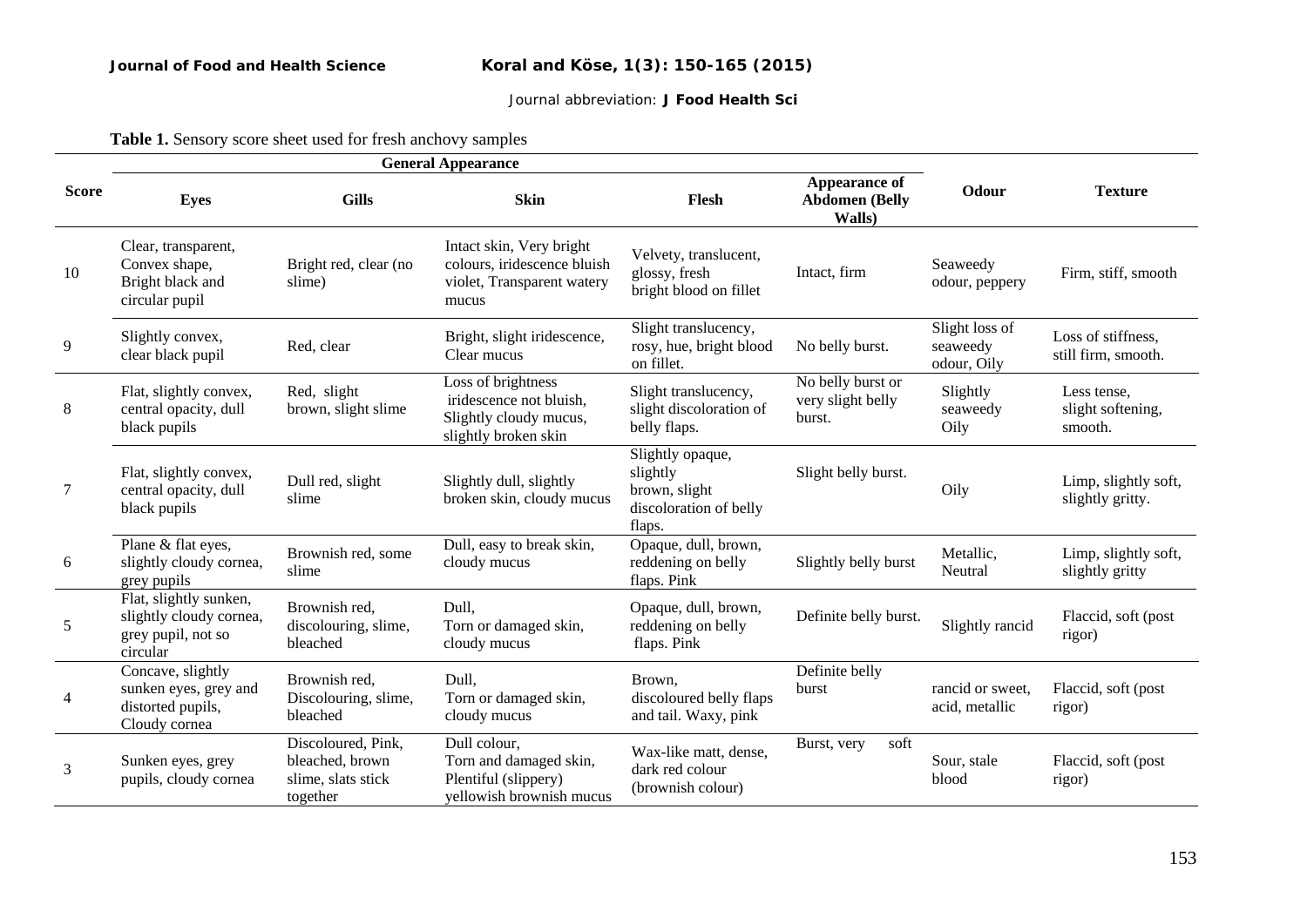**Table 1.** Sensory score sheet used for fresh anchovy samples

|              | <b>General Appearance</b>                                                           |                                                                         |                                                                                                 |                                                                                   |                                                         |                                           |                                             |
|--------------|-------------------------------------------------------------------------------------|-------------------------------------------------------------------------|-------------------------------------------------------------------------------------------------|-----------------------------------------------------------------------------------|---------------------------------------------------------|-------------------------------------------|---------------------------------------------|
| <b>Score</b> | <b>Eyes</b>                                                                         | <b>Gills</b>                                                            | <b>Skin</b>                                                                                     | Flesh                                                                             | <b>Appearance of</b><br><b>Abdomen</b> (Belly<br>Walls) | Odour                                     | <b>Texture</b>                              |
| 10           | Clear, transparent,<br>Convex shape,<br>Bright black and<br>circular pupil          | Bright red, clear (no<br>slime)                                         | Intact skin, Very bright<br>colours, iridescence bluish<br>violet, Transparent watery<br>mucus  | Velvety, translucent,<br>glossy, fresh<br>bright blood on fillet                  | Intact, firm                                            | Seaweedy<br>odour, peppery                | Firm, stiff, smooth                         |
| 9            | Slightly convex,<br>clear black pupil                                               | Red, clear                                                              | Bright, slight iridescence,<br>Clear mucus                                                      | Slight translucency,<br>rosy, hue, bright blood<br>on fillet.                     | No belly burst.                                         | Slight loss of<br>seaweedy<br>odour, Oily | Loss of stiffness.<br>still firm, smooth.   |
| 8            | Flat, slightly convex,<br>central opacity, dull<br>black pupils                     | Red, slight<br>brown, slight slime                                      | Loss of brightness<br>iridescence not bluish.<br>Slightly cloudy mucus,<br>slightly broken skin | Slight translucency,<br>slight discoloration of<br>belly flaps.                   | No belly burst or<br>very slight belly<br>burst.        | Slightly<br>seaweedy<br>Oily              | Less tense.<br>slight softening,<br>smooth. |
| 7            | Flat, slightly convex,<br>central opacity, dull<br>black pupils                     | Dull red, slight<br>slime                                               | Slightly dull, slightly<br>broken skin, cloudy mucus                                            | Slightly opaque,<br>slightly<br>brown, slight<br>discoloration of belly<br>flaps. | Slight belly burst.                                     | Oily                                      | Limp, slightly soft,<br>slightly gritty.    |
| 6            | Plane & flat eyes,<br>slightly cloudy cornea,<br>grey pupils                        | Brownish red, some<br>slime                                             | Dull, easy to break skin,<br>cloudy mucus                                                       | Opaque, dull, brown,<br>reddening on belly<br>flaps. Pink                         | Slightly belly burst                                    | Metallic.<br>Neutral                      | Limp, slightly soft,<br>slightly gritty     |
| 5            | Flat, slightly sunken,<br>slightly cloudy cornea,<br>grey pupil, not so<br>circular | Brownish red,<br>discolouring, slime,<br>bleached                       | Dull,<br>Torn or damaged skin,<br>cloudy mucus                                                  | Opaque, dull, brown,<br>reddening on belly<br>flaps. Pink                         | Definite belly burst.                                   | Slightly rancid                           | Flaccid, soft (post<br>rigor)               |
| 4            | Concave, slightly<br>sunken eyes, grey and<br>distorted pupils,<br>Cloudy cornea    | Brownish red,<br>Discolouring, slime,<br>bleached                       | Dull,<br>Torn or damaged skin,<br>cloudy mucus                                                  | Brown,<br>discoloured belly flaps<br>and tail. Waxy, pink                         | Definite belly<br>burst                                 | rancid or sweet,<br>acid, metallic        | Flaccid, soft (post<br>rigor)               |
| 3            | Sunken eyes, grey<br>pupils, cloudy cornea                                          | Discoloured, Pink,<br>bleached, brown<br>slime, slats stick<br>together | Dull colour,<br>Torn and damaged skin,<br>Plentiful (slippery)<br>yellowish brownish mucus      | Wax-like matt, dense,<br>dark red colour<br>(brownish colour)                     | Burst, very<br>soft                                     | Sour, stale<br>blood                      | Flaccid, soft (post<br>rigor)               |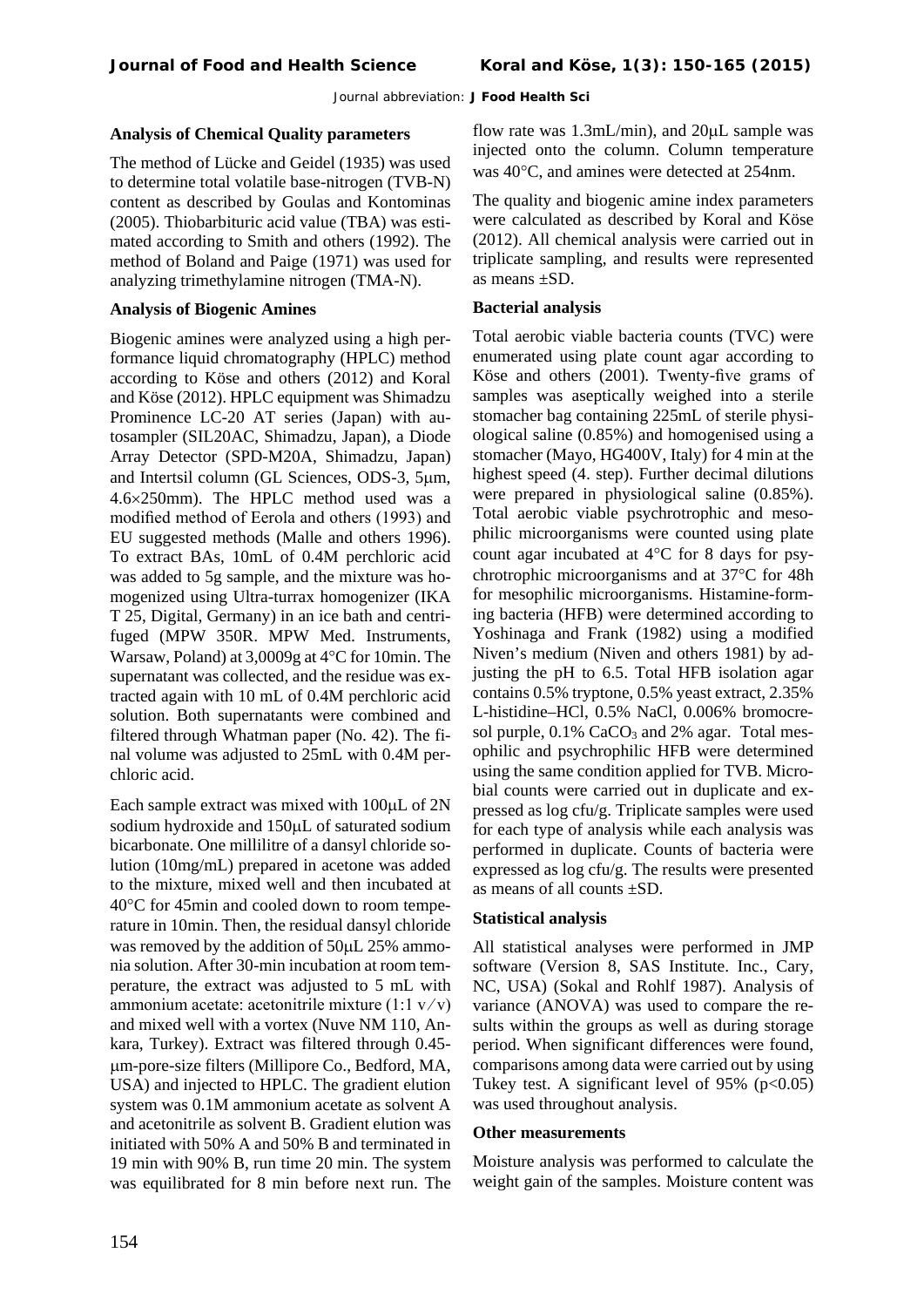# **Analysis of Chemical Quality parameters**

The method of Lücke and Geidel (1935) was used to determine total volatile base-nitrogen (TVB-N) content as described by Goulas and Kontominas (2005). Thiobarbituric acid value (TBA) was estimated according to Smith and others (1992). The method of Boland and Paige (1971) was used for analyzing trimethylamine nitrogen (TMA-N).

# **Analysis of Biogenic Amines**

Biogenic amines were analyzed using a high performance liquid chromatography (HPLC) method according to Köse and others (2012) and Koral and Köse (2012). HPLC equipment was Shimadzu Prominence LC-20 AT series (Japan) with autosampler (SIL20AC, Shimadzu, Japan), a Diode Array Detector (SPD-M20A, Shimadzu, Japan) and Intertsil column (GL Sciences, ODS-3, 5µm, 4.6×250mm). The HPLC method used was a modified method of Eerola and others (1993) and EU suggested methods (Malle and others 1996). To extract BAs, 10mL of 0.4M perchloric acid was added to 5g sample, and the mixture was homogenized using Ultra-turrax homogenizer (IKA T 25, Digital, Germany) in an ice bath and centrifuged (MPW 350R. MPW Med. Instruments, Warsaw, Poland) at 3,0009g at 4°C for 10min. The supernatant was collected, and the residue was extracted again with 10 mL of 0.4M perchloric acid solution. Both supernatants were combined and filtered through Whatman paper (No. 42). The final volume was adjusted to 25mL with 0.4M perchloric acid.

Each sample extract was mixed with 100µL of 2N sodium hydroxide and 150uL of saturated sodium bicarbonate. One millilitre of a dansyl chloride solution (10mg/mL) prepared in acetone was added to the mixture, mixed well and then incubated at 40°C for 45min and cooled down to room temperature in 10min. Then, the residual dansyl chloride was removed by the addition of  $50\mu$ L 25% ammonia solution. After 30-min incubation at room temperature, the extract was adjusted to 5 mL with ammonium acetate: acetonitrile mixture  $(1:1 \text{ v}/\text{v})$ and mixed well with a vortex (Nuve NM 110, Ankara, Turkey). Extract was filtered through 0.45 µm-pore-size filters (Millipore Co., Bedford, MA, USA) and injected to HPLC. The gradient elution system was 0.1M ammonium acetate as solvent A and acetonitrile as solvent B. Gradient elution was initiated with 50% A and 50% B and terminated in 19 min with 90% B, run time 20 min. The system was equilibrated for 8 min before next run. The flow rate was 1.3mL/min), and 20µL sample was injected onto the column. Column temperature was 40°C, and amines were detected at 254nm.

The quality and biogenic amine index parameters were calculated as described by Koral and Köse (2012). All chemical analysis were carried out in triplicate sampling, and results were represented as means ±SD.

# **Bacterial analysis**

Total aerobic viable bacteria counts (TVC) were enumerated using plate count agar according to Köse and others (2001). Twenty-five grams of samples was aseptically weighed into a sterile stomacher bag containing 225mL of sterile physiological saline (0.85%) and homogenised using a stomacher (Mayo, HG400V, Italy) for 4 min at the highest speed (4. step). Further decimal dilutions were prepared in physiological saline (0.85%). Total aerobic viable psychrotrophic and mesophilic microorganisms were counted using plate count agar incubated at 4°C for 8 days for psychrotrophic microorganisms and at 37°C for 48h for mesophilic microorganisms. Histamine-forming bacteria (HFB) were determined according to Yoshinaga and Frank (1982) using a modified Niven's medium (Niven and others 1981) by adjusting the pH to 6.5. Total HFB isolation agar contains 0.5% tryptone, 0.5% yeast extract, 2.35% L-histidine–HCl, 0.5% NaCl, 0.006% bromocresol purple,  $0.1\%$  CaCO<sub>3</sub> and 2% agar. Total mesophilic and psychrophilic HFB were determined using the same condition applied for TVB. Microbial counts were carried out in duplicate and expressed as log cfu/g. Triplicate samples were used for each type of analysis while each analysis was performed in duplicate. Counts of bacteria were expressed as log cfu/g. The results were presented as means of all counts ±SD.

## **Statistical analysis**

All statistical analyses were performed in JMP software (Version 8, SAS Institute. Inc., Cary, NC, USA) (Sokal and Rohlf 1987). Analysis of variance (ANOVA) was used to compare the results within the groups as well as during storage period. When significant differences were found, comparisons among data were carried out by using Tukey test. A significant level of  $95\%$  (p<0.05) was used throughout analysis.

## **Other measurements**

Moisture analysis was performed to calculate the weight gain of the samples. Moisture content was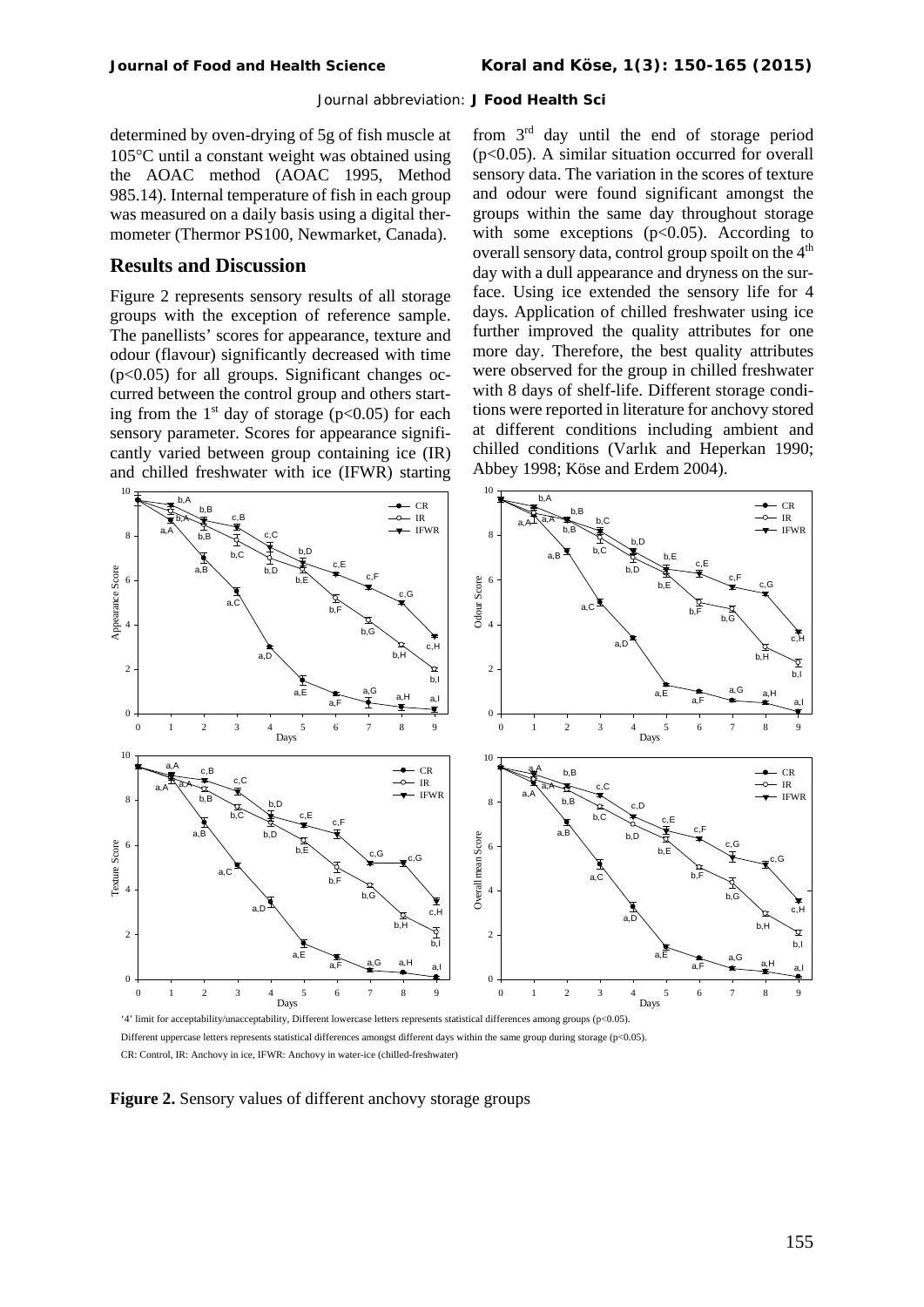determined by oven-drying of 5g of fish muscle at 105°C until a constant weight was obtained using the AOAC method (AOAC 1995, Method 985.14). Internal temperature of fish in each group was measured on a daily basis using a digital thermometer (Thermor PS100, Newmarket, Canada).

## **Results and Discussion**

Figure 2 represents sensory results of all storage groups with the exception of reference sample. The panellists' scores for appearance, texture and odour (flavour) significantly decreased with time  $(p<0.05)$  for all groups. Significant changes occurred between the control group and others starting from the  $1<sup>st</sup>$  day of storage (p<0.05) for each sensory parameter. Scores for appearance significantly varied between group containing ice (IR) and chilled freshwater with ice (IFWR) starting

from 3rd day until the end of storage period  $(p<0.05)$ . A similar situation occurred for overall sensory data. The variation in the scores of texture and odour were found significant amongst the groups within the same day throughout storage with some exceptions  $(p<0.05)$ . According to overall sensory data, control group spoilt on the  $4<sup>th</sup>$ day with a dull appearance and dryness on the surface. Using ice extended the sensory life for 4 days. Application of chilled freshwater using ice further improved the quality attributes for one more day. Therefore, the best quality attributes were observed for the group in chilled freshwater with 8 days of shelf-life. Different storage conditions were reported in literature for anchovy stored at different conditions including ambient and chilled conditions ([Varlık](http://csaweb116v.csa.com/ids70/p_search_form.php?field=au&query=varlik+c&log=literal&SID=cc3pr7g3pjdpq0dk0urk7j64l4) and [Heperkan 1990;](http://csaweb116v.csa.com/ids70/p_search_form.php?field=au&query=heperkan+d&log=literal&SID=cc3pr7g3pjdpq0dk0urk7j64l4) Abbey 1998; Köse and Erdem 2004).



Different uppercase letters represents statistical differences amongst different days within the same group during storage (p<0.05). CR: Control, IR: Anchovy in ice, IFWR: Anchovy in water-ice (chilled-freshwater)

**Figure 2.** Sensory values of different anchovy storage groups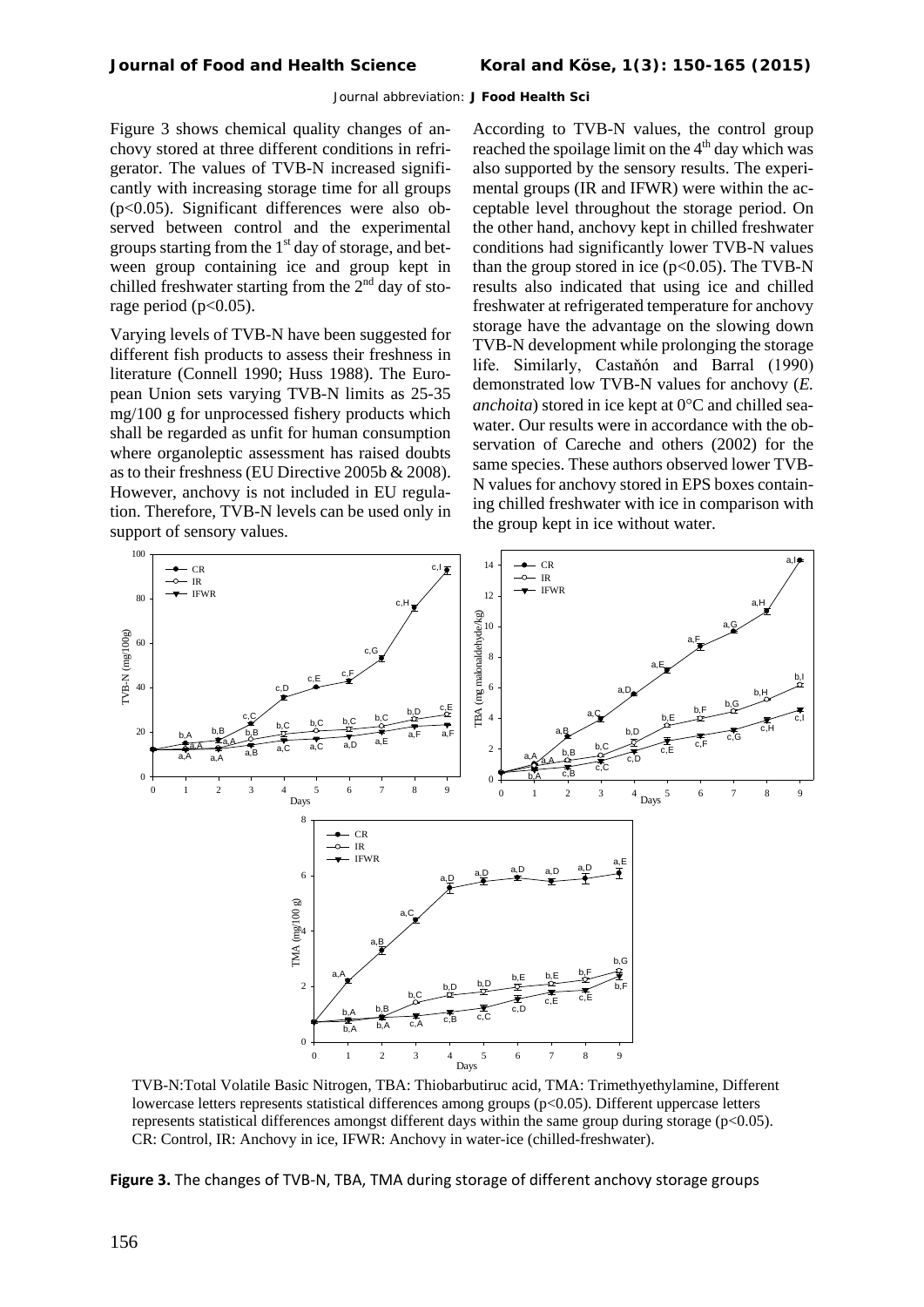Figure 3 shows chemical quality changes of anchovy stored at three different conditions in refrigerator. The values of TVB-N increased significantly with increasing storage time for all groups (p<0.05). Significant differences were also observed between control and the experimental groups starting from the  $1<sup>st</sup>$  day of storage, and between group containing ice and group kept in chilled freshwater starting from the  $2<sup>nd</sup>$  day of storage period ( $p<0.05$ ).

Varying levels of TVB-N have been suggested for different fish products to assess their freshness in literature (Connell 1990; Huss 1988). The European Union sets varying TVB-N limits as 25-35 mg/100 g for unprocessed fishery products which shall be regarded as unfit for human consumption where organoleptic assessment has raised doubts as to their freshness (EU Directive 2005b & 2008). However, anchovy is not included in EU regulation. Therefore, TVB-N levels can be used only in support of sensory values.

According to TVB-N values, the control group reached the spoilage limit on the  $4<sup>th</sup>$  day which was also supported by the sensory results. The experimental groups (IR and IFWR) were within the acceptable level throughout the storage period. On the other hand, anchovy kept in chilled freshwater conditions had significantly lower TVB-N values than the group stored in ice  $(p<0.05)$ . The TVB-N results also indicated that using ice and chilled freshwater at refrigerated temperature for anchovy storage have the advantage on the slowing down TVB-N development while prolonging the storage life. Similarly, Castaňón and Barral (1990) demonstrated low TVB-N values for anchovy (*E. anchoita*) stored in ice kept at 0°C and chilled seawater. Our results were in accordance with the observation of Careche and others (2002) for the same species. These authors observed lower TVB-N values for anchovy stored in EPS boxes containing chilled freshwater with ice in comparison with the group kept in ice without water.



TVB-N:Total Volatile Basic Nitrogen, TBA: Thiobarbutiruc acid, TMA: Trimethyethylamine, Different lowercase letters represents statistical differences among groups  $(p<0.05)$ . Different uppercase letters represents statistical differences amongst different days within the same group during storage (p<0.05). CR: Control, IR: Anchovy in ice, IFWR: Anchovy in water-ice (chilled-freshwater).

**Figure 3.** The changes of TVB-N, TBA, TMA during storage of different anchovy storage groups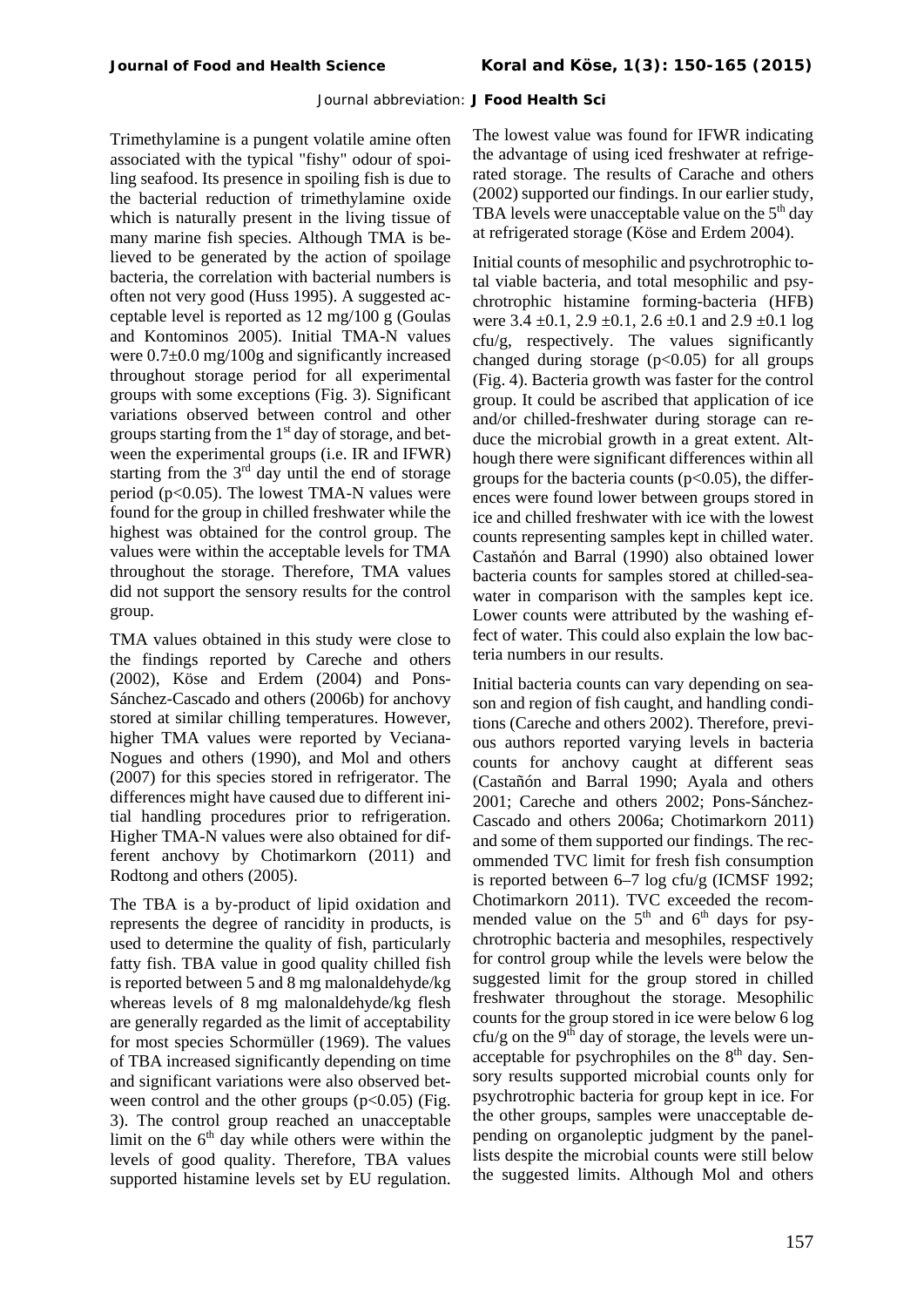Trimethylamine is a pungent volatile amine often associated with the typical "fishy" odour of spoiling seafood. Its presence in spoiling fish is due to the bacterial reduction of trimethylamine oxide which is naturally present in the living tissue of many marine fish species. Although TMA is believed to be generated by the action of spoilage bacteria, the correlation with bacterial numbers is often not very good (Huss 1995). A suggested acceptable level is reported as 12 mg/100 g (Goulas and Kontominos 2005). Initial TMA-N values were 0.7±0.0 mg/100g and significantly increased throughout storage period for all experimental groups with some exceptions (Fig. 3). Significant variations observed between control and other groups starting from the  $1<sup>st</sup>$  day of storage, and between the experimental groups (i.e. IR and IFWR) starting from the  $3<sup>rd</sup>$  day until the end of storage period ( $p<0.05$ ). The lowest TMA-N values were found for the group in chilled freshwater while the highest was obtained for the control group. The values were within the acceptable levels for TMA throughout the storage. Therefore, TMA values did not support the sensory results for the control group.

TMA values obtained in this study were close to the findings reported by Careche and others (2002), Köse and Erdem (2004) and Pons-Sánchez-Cascado and others (2006b) for anchovy stored at similar chilling temperatures. However, higher TMA values were reported by Veciana-Nogues and others (1990), and Mol and others (2007) for this species stored in refrigerator. The differences might have caused due to different initial handling procedures prior to refrigeration. Higher TMA-N values were also obtained for different anchovy by Chotimarkorn (2011) and Rodtong and others (2005).

The TBA is a by-product of lipid oxidation and represents the degree of rancidity in products, is used to determine the quality of fish, particularly fatty fish. TBA value in good quality chilled fish is reported between 5 and 8 mg malonaldehyde/kg whereas levels of 8 mg malonaldehyde/kg flesh are generally regarded as the limit of acceptability for most species Schormüller (1969). The values of TBA increased significantly depending on time and significant variations were also observed between control and the other groups  $(p<0.05)$  (Fig. 3). The control group reached an unacceptable limit on the  $6<sup>th</sup>$  day while others were within the levels of good quality. Therefore, TBA values supported histamine levels set by EU regulation. The lowest value was found for IFWR indicating the advantage of using iced freshwater at refrigerated storage. The results of Carache and others (2002) supported our findings. In our earlier study, TBA levels were unacceptable value on the  $5<sup>th</sup>$  day at refrigerated storage (Köse and Erdem 2004).

Initial counts of mesophilic and psychrotrophic total viable bacteria, and total mesophilic and psychrotrophic histamine forming-bacteria (HFB) were  $3.4 \pm 0.1$ ,  $2.9 \pm 0.1$ ,  $2.6 \pm 0.1$  and  $2.9 \pm 0.1$  log cfu/g, respectively. The values significantly changed during storage  $(p<0.05)$  for all groups (Fig. 4). Bacteria growth was faster for the control group. It could be ascribed that application of ice and/or chilled-freshwater during storage can reduce the microbial growth in a great extent. Although there were significant differences within all groups for the bacteria counts ( $p<0.05$ ), the differences were found lower between groups stored in ice and chilled freshwater with ice with the lowest counts representing samples kept in chilled water. Castaňón and Barral (1990) also obtained lower bacteria counts for samples stored at chilled-seawater in comparison with the samples kept ice. Lower counts were attributed by the washing effect of water. This could also explain the low bacteria numbers in our results.

Initial bacteria counts can vary depending on season and region of fish caught, and handling conditions (Careche and others 2002). Therefore, previous authors reported varying levels in bacteria counts for anchovy caught at different seas (Castañón and Barral 1990; Ayala and others 2001; Careche and others 2002; Pons-Sánchez-Cascado and others 2006a; Chotimarkorn 2011) and some of them supported our findings. The recommended TVC limit for fresh fish consumption is reported between 6–7 log cfu/g (ICMSF 1992; Chotimarkorn 2011). TVC exceeded the recommended value on the  $5<sup>th</sup>$  and  $6<sup>th</sup>$  days for psychrotrophic bacteria and mesophiles, respectively for control group while the levels were below the suggested limit for the group stored in chilled freshwater throughout the storage. Mesophilic counts for the group stored in ice were below 6 log cfu/g on the 9<sup>th</sup> day of storage, the levels were unacceptable for psychrophiles on the  $8<sup>th</sup>$  day. Sensory results supported microbial counts only for psychrotrophic bacteria for group kept in ice. For the other groups, samples were unacceptable depending on organoleptic judgment by the panellists despite the microbial counts were still below the suggested limits. Although Mol and others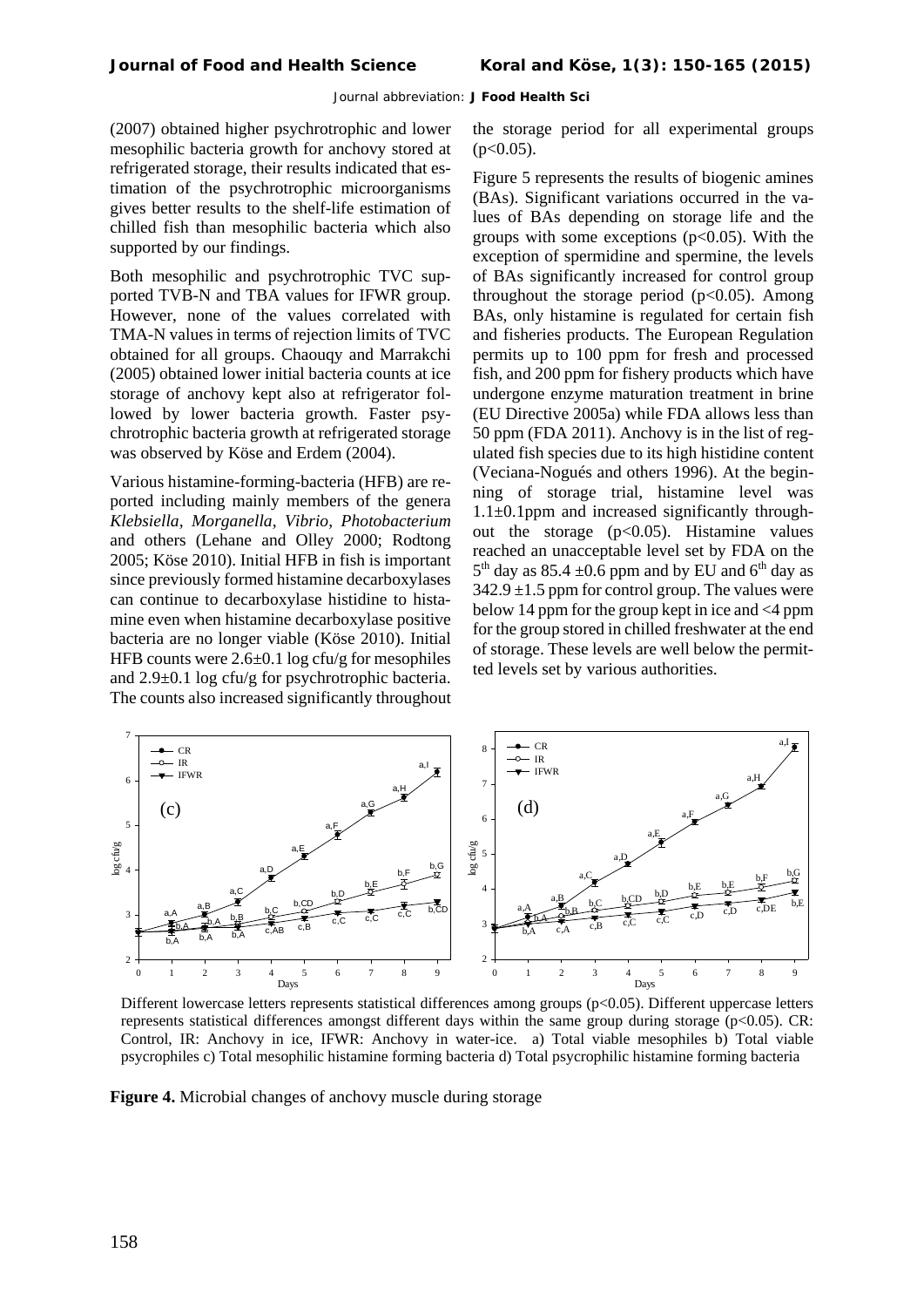(2007) obtained higher psychrotrophic and lower mesophilic bacteria growth for anchovy stored at refrigerated storage, their results indicated that estimation of the psychrotrophic microorganisms gives better results to the shelf-life estimation of chilled fish than mesophilic bacteria which also supported by our findings.

Both mesophilic and psychrotrophic TVC supported TVB-N and TBA values for IFWR group. However, none of the values correlated with TMA-N values in terms of rejection limits of TVC obtained for all groups. Chaouqy and Marrakchi (2005) obtained lower initial bacteria counts at ice storage of anchovy kept also at refrigerator followed by lower bacteria growth. Faster psychrotrophic bacteria growth at refrigerated storage was observed by Köse and Erdem (2004).

Various histamine-forming-bacteria (HFB) are reported including mainly members of the genera *Klebsiella, Morganella, Vibrio, Photobacterium* and others (Lehane and Olley 2000; Rodtong 2005; Köse 2010). Initial HFB in fish is important since previously formed histamine decarboxylases can continue to decarboxylase histidine to histamine even when histamine decarboxylase positive bacteria are no longer viable (Köse 2010). Initial HFB counts were 2.6±0.1 log cfu/g for mesophiles and 2.9±0.1 log cfu/g for psychrotrophic bacteria. The counts also increased significantly throughout

the storage period for all experimental groups  $(p<0.05)$ .

Figure 5 represents the results of biogenic amines (BAs). Significant variations occurred in the values of BAs depending on storage life and the groups with some exceptions  $(p<0.05)$ . With the exception of spermidine and spermine, the levels of BAs significantly increased for control group throughout the storage period  $(p<0.05)$ . Among BAs, only histamine is regulated for certain fish and fisheries products. The European Regulation permits up to 100 ppm for fresh and processed fish, and 200 ppm for fishery products which have undergone enzyme maturation treatment in brine (EU Directive 2005a) while FDA allows less than 50 ppm (FDA 2011). Anchovy is in the list of regulated fish species due to its high histidine content (Veciana-Nogués and others 1996). At the beginning of storage trial, histamine level was 1.1±0.1ppm and increased significantly throughout the storage  $(p<0.05)$ . Histamine values reached an unacceptable level set by FDA on the  $5<sup>th</sup>$  day as 85.4  $\pm$ 0.6 ppm and by EU and 6<sup>th</sup> day as  $342.9 \pm 1.5$  ppm for control group. The values were below 14 ppm for the group kept in ice and <4 ppm for the group stored in chilled freshwater at the end of storage. These levels are well below the permitted levels set by various authorities.



Different lowercase letters represents statistical differences among groups (p<0.05). Different uppercase letters represents statistical differences amongst different days within the same group during storage (p<0.05). CR: Control, IR: Anchovy in ice, IFWR: Anchovy in water-ice. a) Total viable mesophiles b) Total viable psycrophiles c) Total mesophilic histamine forming bacteria d) Total psycrophilic histamine forming bacteria

**Figure 4.** Microbial changes of anchovy muscle during storage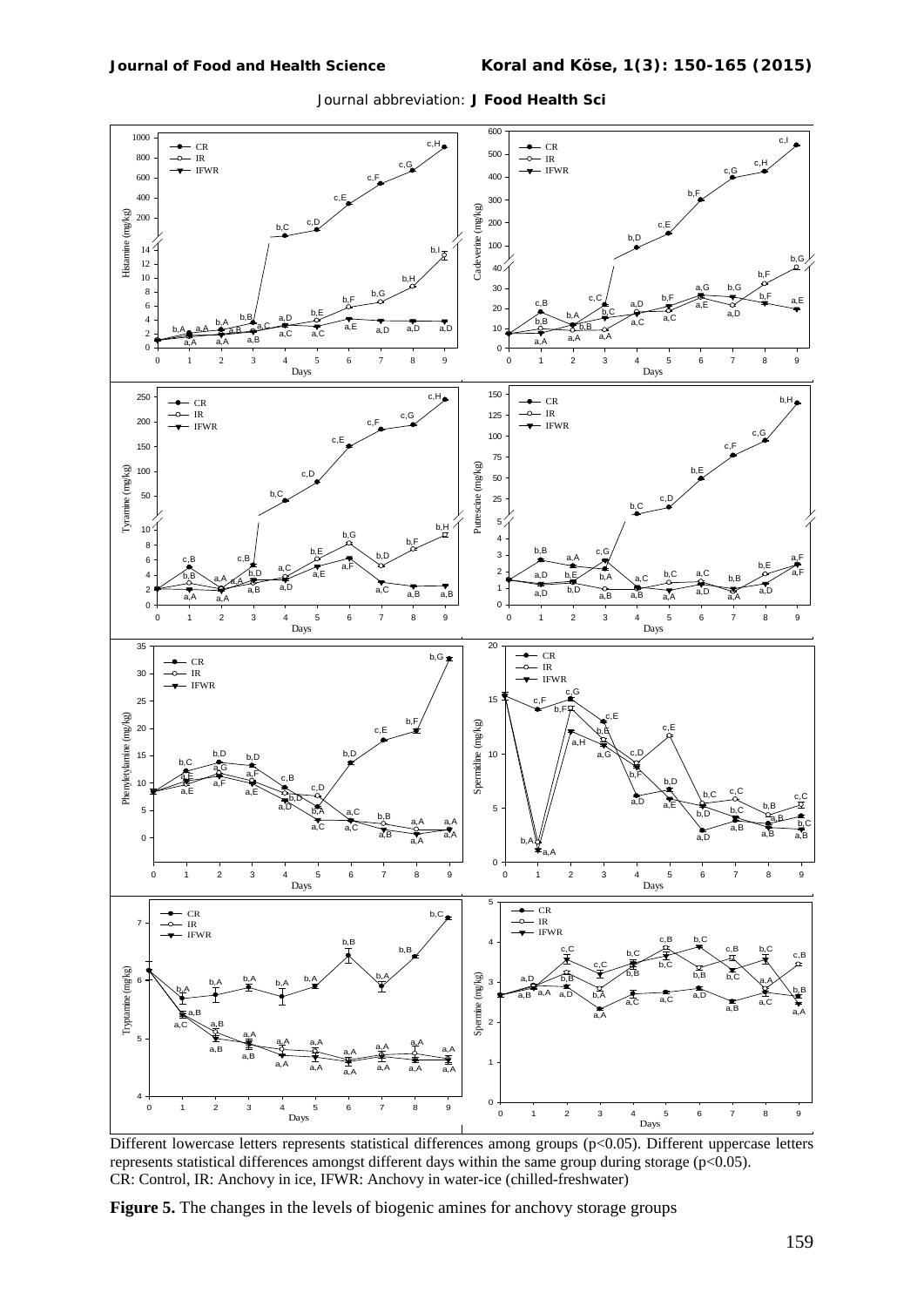

Different lowercase letters represents statistical differences among groups (p<0.05). Different uppercase letters represents statistical differences amongst different days within the same group during storage (p<0.05). CR: Control, IR: Anchovy in ice, IFWR: Anchovy in water-ice (chilled-freshwater)

**Figure 5.** The changes in the levels of biogenic amines for anchovy storage groups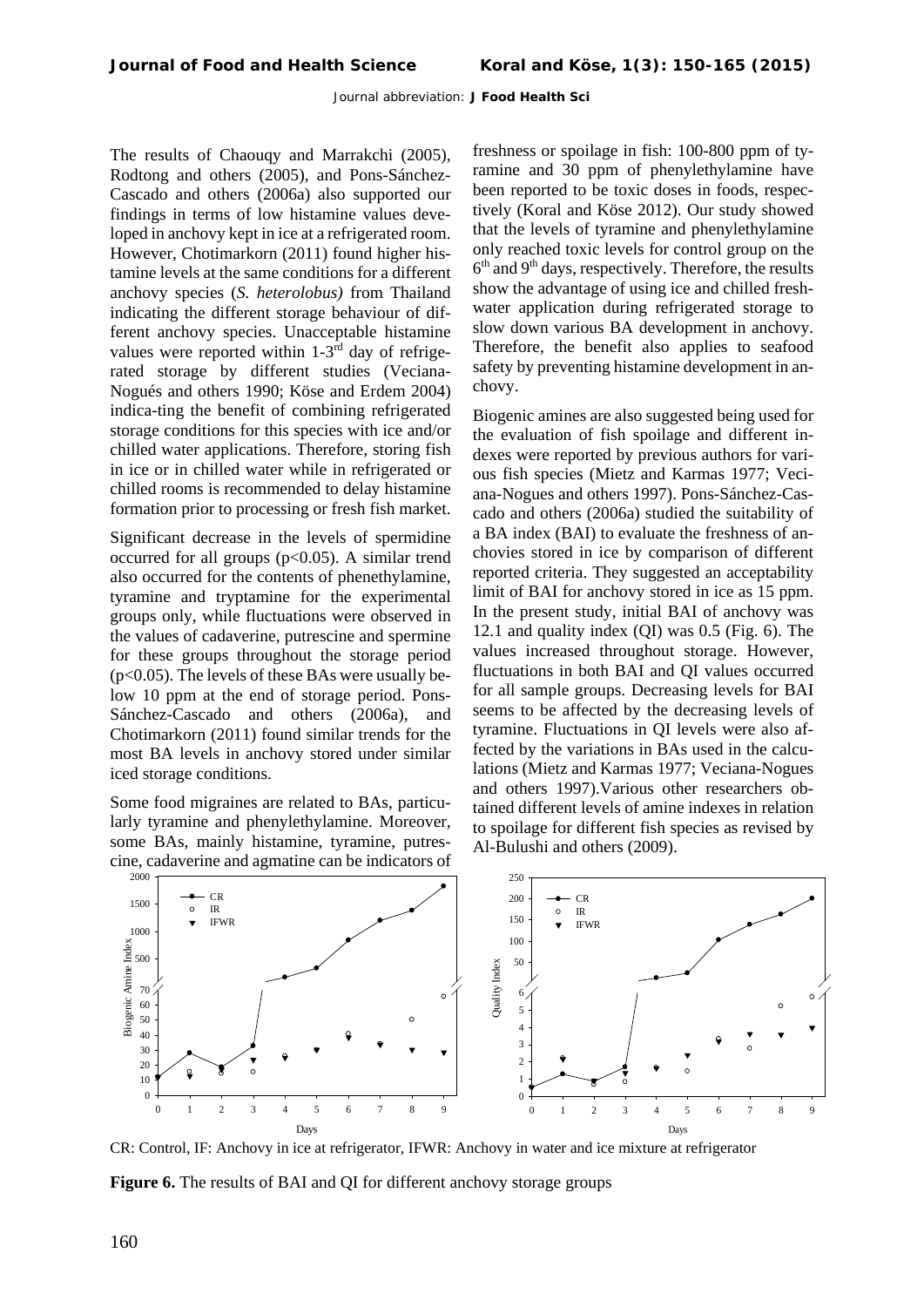The results of Chaouqy and Marrakchi (2005), Rodtong and others (2005), and Pons-Sánchez-Cascado and others (2006a) also supported our findings in terms of low histamine values developed in anchovy kept in ice at a refrigerated room. However, Chotimarkorn (2011) found higher histamine levels at the same conditions for a different anchovy species (*S. heterolobus)* from Thailand indicating the different storage behaviour of different anchovy species. Unacceptable histamine values were reported within  $1-3<sup>rd</sup>$  day of refrigerated storage by different studies (Veciana-Nogués and others 1990; Köse and Erdem 2004) indica-ting the benefit of combining refrigerated storage conditions for this species with ice and/or chilled water applications. Therefore, storing fish in ice or in chilled water while in refrigerated or chilled rooms is recommended to delay histamine formation prior to processing or fresh fish market.

Significant decrease in the levels of spermidine occurred for all groups  $(p<0.05)$ . A similar trend also occurred for the contents of phenethylamine, tyramine and tryptamine for the experimental groups only, while fluctuations were observed in the values of cadaverine, putrescine and spermine for these groups throughout the storage period (p<0.05). The levels of these BAs were usually below 10 ppm at the end of storage period. Pons-Sánchez-Cascado and others (2006a), and Chotimarkorn (2011) found similar trends for the most BA levels in anchovy stored under similar iced storage conditions.

Some food migraines are related to BAs, particularly tyramine and phenylethylamine. Moreover, some BAs, mainly histamine, tyramine, putrescine, cadaverine and agmatine can be indicators of freshness or spoilage in fish: 100-800 ppm of tyramine and 30 ppm of phenylethylamine have been reported to be toxic doses in foods, respectively (Koral and Köse 2012). Our study showed that the levels of tyramine and phenylethylamine only reached toxic levels for control group on the  $6<sup>th</sup>$  and  $9<sup>th</sup>$  days, respectively. Therefore, the results show the advantage of using ice and chilled freshwater application during refrigerated storage to slow down various BA development in anchovy. Therefore, the benefit also applies to seafood safety by preventing histamine development in anchovy.

Biogenic amines are also suggested being used for the evaluation of fish spoilage and different indexes were reported by previous authors for various fish species (Mietz and Karmas 1977; Veciana-Nogues and others 1997). Pons-Sánchez-Cascado and others (2006a) studied the suitability of a BA index (BAI) to evaluate the freshness of anchovies stored in ice by comparison of different reported criteria. They suggested an acceptability limit of BAI for anchovy stored in ice as 15 ppm. In the present study, initial BAI of anchovy was 12.1 and quality index (QI) was 0.5 (Fig. 6). The values increased throughout storage. However, fluctuations in both BAI and QI values occurred for all sample groups. Decreasing levels for BAI seems to be affected by the decreasing levels of tyramine. Fluctuations in QI levels were also affected by the variations in BAs used in the calculations (Mietz and Karmas 1977; Veciana-Nogues and others 1997).Various other researchers obtained different levels of amine indexes in relation to spoilage for different fish species as revised by Al-Bulushi and others (2009).



CR: Control, IF: Anchovy in ice at refrigerator, IFWR: Anchovy in water and ice mixture at refrigerator

**Figure 6.** The results of BAI and QI for different anchovy storage groups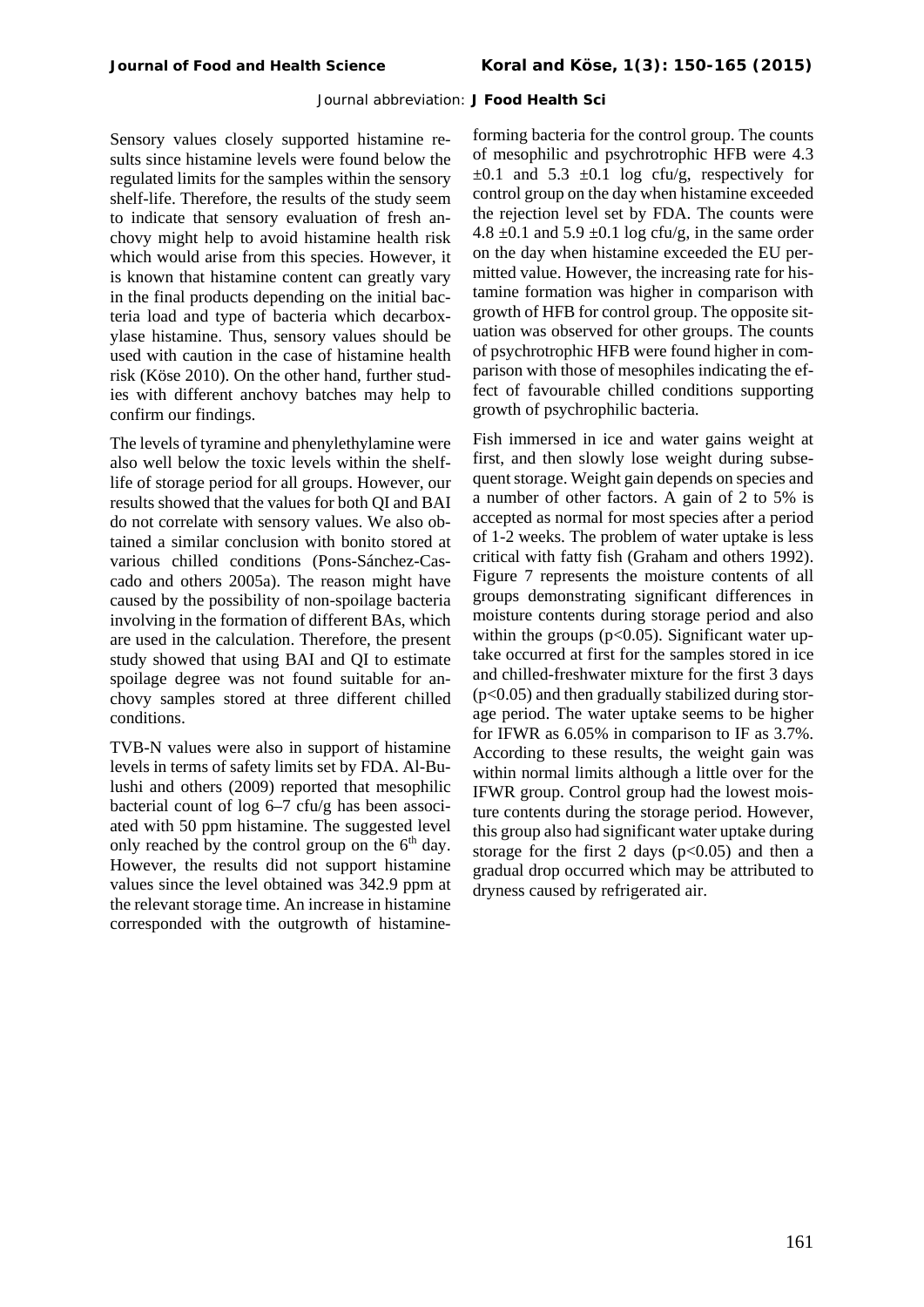Sensory values closely supported histamine results since histamine levels were found below the regulated limits for the samples within the sensory shelf-life. Therefore, the results of the study seem to indicate that sensory evaluation of fresh anchovy might help to avoid histamine health risk which would arise from this species. However, it is known that histamine content can greatly vary in the final products depending on the initial bacteria load and type of bacteria which decarboxylase histamine. Thus, sensory values should be used with caution in the case of histamine health risk (Köse 2010). On the other hand, further studies with different anchovy batches may help to confirm our findings.

The levels of tyramine and phenylethylamine were also well below the toxic levels within the shelflife of storage period for all groups. However, our results showed that the values for both QI and BAI do not correlate with sensory values. We also obtained a similar conclusion with bonito stored at various chilled conditions (Pons-Sánchez-Cascado and others 2005a). The reason might have caused by the possibility of non-spoilage bacteria involving in the formation of different BAs, which are used in the calculation. Therefore, the present study showed that using BAI and QI to estimate spoilage degree was not found suitable for anchovy samples stored at three different chilled conditions.

TVB-N values were also in support of histamine levels in terms of safety limits set by FDA. Al-Bulushi and others (2009) reported that mesophilic bacterial count of log 6–7 cfu/g has been associated with 50 ppm histamine. The suggested level only reached by the control group on the  $6<sup>th</sup>$  day. However, the results did not support histamine values since the level obtained was 342.9 ppm at the relevant storage time. An increase in histamine corresponded with the outgrowth of histamineforming bacteria for the control group. The counts of mesophilic and psychrotrophic HFB were 4.3  $\pm 0.1$  and 5.3  $\pm 0.1$  log cfu/g, respectively for control group on the day when histamine exceeded the rejection level set by FDA. The counts were 4.8  $\pm$ 0.1 and 5.9  $\pm$ 0.1 log cfu/g, in the same order on the day when histamine exceeded the EU permitted value. However, the increasing rate for histamine formation was higher in comparison with growth of HFB for control group. The opposite situation was observed for other groups. The counts of psychrotrophic HFB were found higher in comparison with those of mesophiles indicating the effect of favourable chilled conditions supporting growth of psychrophilic bacteria.

Fish immersed in ice and water gains weight at first, and then slowly lose weight during subsequent storage. Weight gain depends on species and a number of other factors. A gain of 2 to 5% is accepted as normal for most species after a period of 1-2 weeks. The problem of water uptake is less critical with fatty fish (Graham and others 1992). Figure 7 represents the moisture contents of all groups demonstrating significant differences in moisture contents during storage period and also within the groups ( $p<0.05$ ). Significant water uptake occurred at first for the samples stored in ice and chilled-freshwater mixture for the first 3 days (p<0.05) and then gradually stabilized during storage period. The water uptake seems to be higher for IFWR as 6.05% in comparison to IF as 3.7%. According to these results, the weight gain was within normal limits although a little over for the IFWR group. Control group had the lowest moisture contents during the storage period. However, this group also had significant water uptake during storage for the first 2 days  $(p<0.05)$  and then a gradual drop occurred which may be attributed to dryness caused by refrigerated air.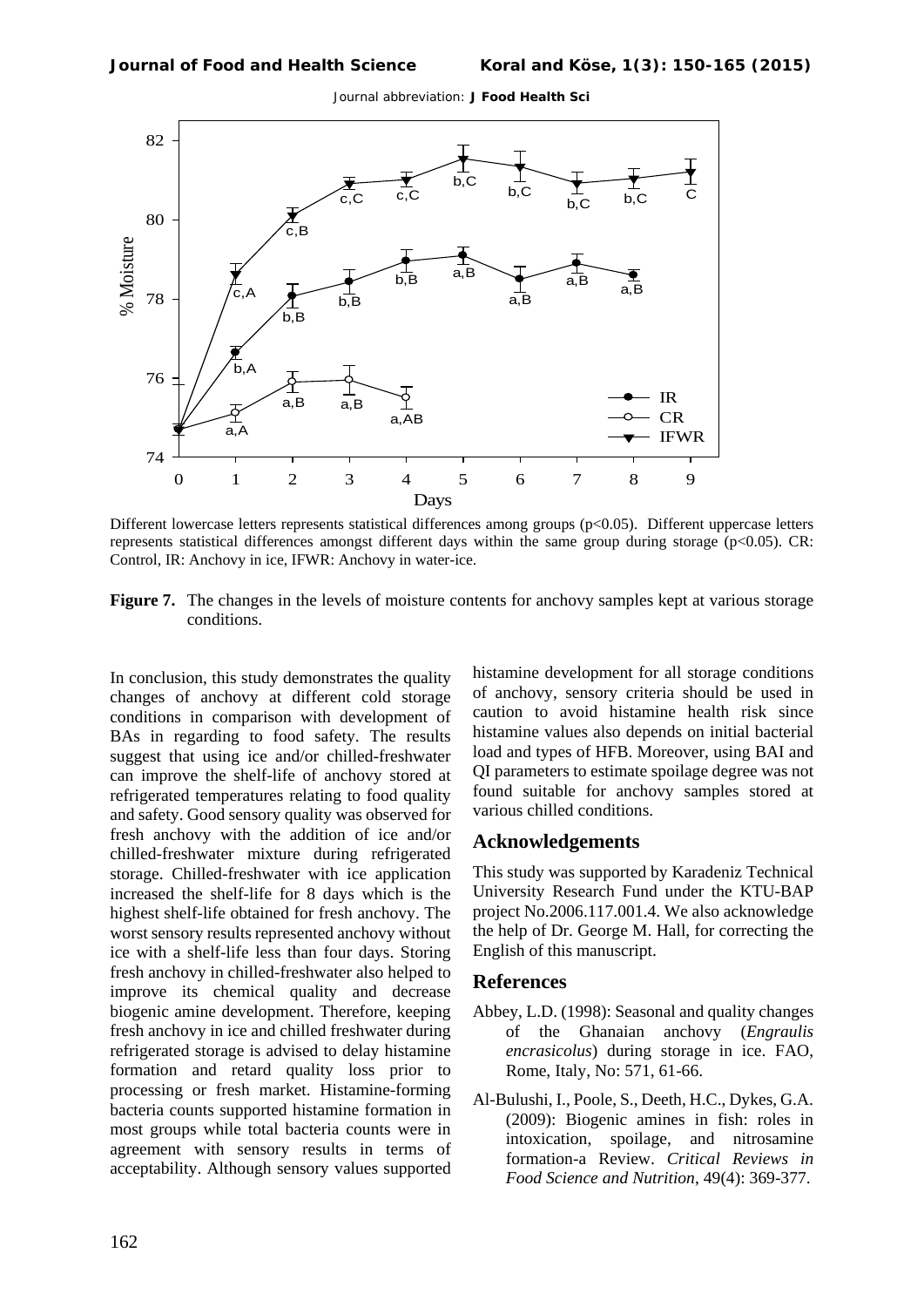

Different lowercase letters represents statistical differences among groups (p<0.05). Different uppercase letters represents statistical differences amongst different days within the same group during storage (p<0.05). CR: Control, IR: Anchovy in ice, IFWR: Anchovy in water-ice.

**Figure 7.** The changes in the levels of moisture contents for anchovy samples kept at various storage conditions.

In conclusion, this study demonstrates the quality changes of anchovy at different cold storage conditions in comparison with development of BAs in regarding to food safety. The results suggest that using ice and/or chilled-freshwater can improve the shelf-life of anchovy stored at refrigerated temperatures relating to food quality and safety. Good sensory quality was observed for fresh anchovy with the addition of ice and/or chilled-freshwater mixture during refrigerated storage. Chilled-freshwater with ice application increased the shelf-life for 8 days which is the highest shelf-life obtained for fresh anchovy. The worst sensory results represented anchovy without ice with a shelf-life less than four days. Storing fresh anchovy in chilled-freshwater also helped to improve its chemical quality and decrease biogenic amine development. Therefore, keeping fresh anchovy in ice and chilled freshwater during refrigerated storage is advised to delay histamine formation and retard quality loss prior to processing or fresh market. Histamine-forming bacteria counts supported histamine formation in most groups while total bacteria counts were in agreement with sensory results in terms of acceptability. Although sensory values supported histamine development for all storage conditions of anchovy, sensory criteria should be used in caution to avoid histamine health risk since histamine values also depends on initial bacterial load and types of HFB. Moreover, using BAI and QI parameters to estimate spoilage degree was not found suitable for anchovy samples stored at various chilled conditions.

## **Acknowledgements**

This study was supported by Karadeniz Technical University Research Fund under the KTU-BAP project No.2006.117.001.4. We also acknowledge the help of Dr. George M. Hall, for correcting the English of this manuscript.

## **References**

- [Abbey, L.D.](http://search.proquest.com/asfa/indexinglinkhandler/sng/author/Abbey,+L+D/$N?accountid=7412) (1998): Seasonal and quality changes of the Ghanaian anchovy (*Engraulis encrasicolus*) during storage in ice. [FAO,](http://search.proquest.com/asfa/indexinglinkhandler/sng/author/FAO,+Rome+$5bItaly$5d/$N?accountid=7412)  [Rome, Italy, No: 571, 61-66.](http://search.proquest.com/asfa/indexinglinkhandler/sng/author/FAO,+Rome+$5bItaly$5d/$N?accountid=7412)
- Al-Bulushi, I., Poole, S., Deeth, H.C., Dykes, G.A. (2009): Biogenic amines in fish: roles in intoxication, spoilage, and nitrosamine formation-a Review. *Critical Reviews in Food Science and Nutrition*, 49(4): 369-377.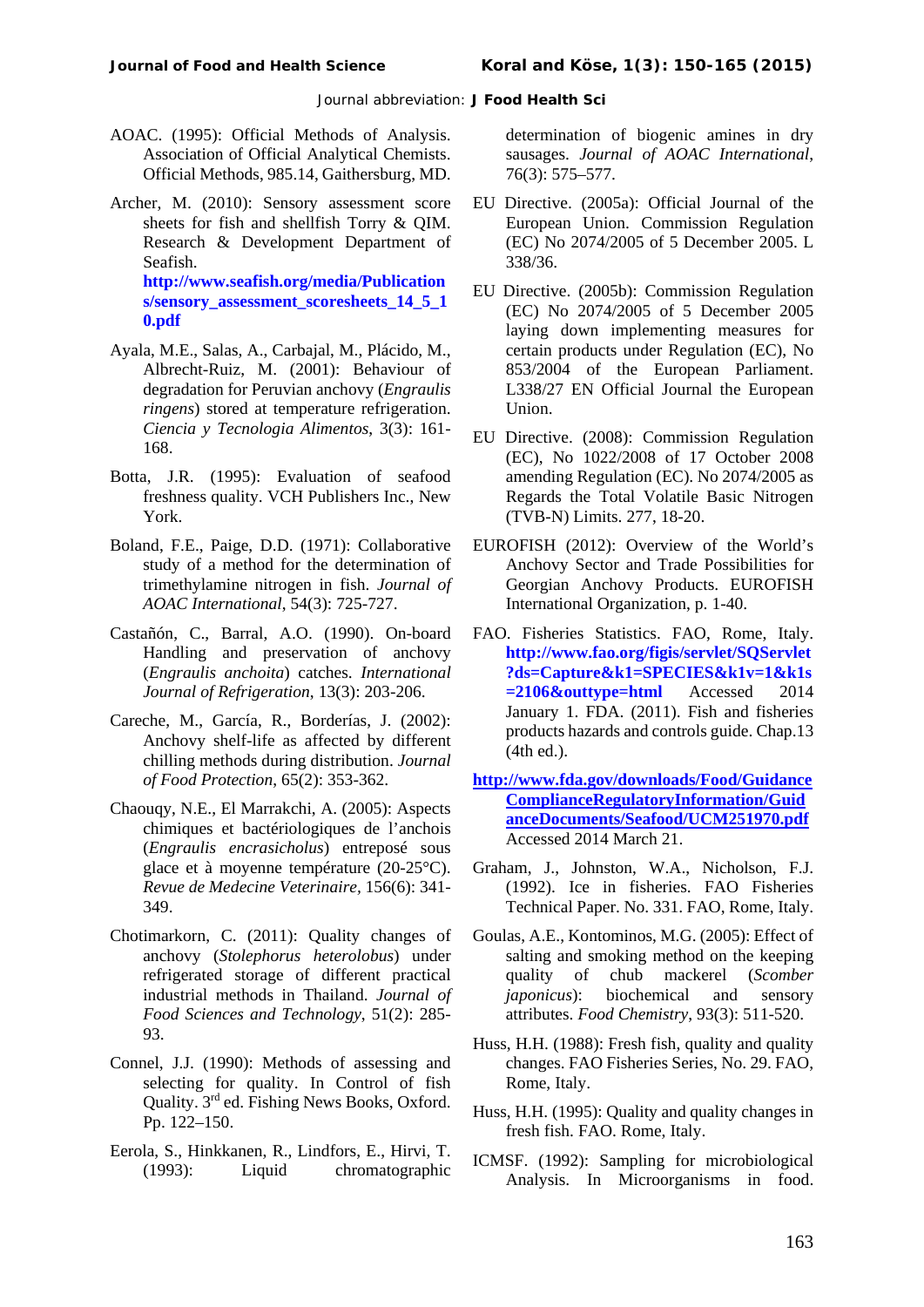- AOAC. (1995): Official Methods of Analysis. Association of Official Analytical Chemists. Official Methods, 985.14, Gaithersburg, MD.
- Archer, M. (2010): Sensory assessment score sheets for fish and shellfish Torry & QIM. Research & Development Department of Seafish.

**[http://www.seafish.org/media/Publication](http://www.seafish.org/media/Publications/sensory_assessment_scoresheets_14_5_10.pdf) [s/sensory\\_assessment\\_scoresheets\\_14\\_5\\_1](http://www.seafish.org/media/Publications/sensory_assessment_scoresheets_14_5_10.pdf) [0.pdf](http://www.seafish.org/media/Publications/sensory_assessment_scoresheets_14_5_10.pdf)**

- Ayala, M.E., Salas, A., Carbajal, M., Plácido, M., Albrecht-Ruiz, M. (2001): Behaviour of degradation for Peruvian anchovy (*Engraulis ringens*) stored at temperature refrigeration. *Ciencia y Tecnologia Alimentos*, 3(3): 161- 168.
- Botta, J.R. (1995): Evaluation of seafood freshness quality. VCH Publishers Inc., New York.
- Boland, F.E., Paige, D.D. (1971): Collaborative study of a method for the determination of trimethylamine nitrogen in fish. *Journal of AOAC International*, 54(3): 725-727.
- Castañón, C., Barral, A.O. (1990). On-board Handling and preservation of anchovy (*Engraulis anchoita*) catches. *International Journal of Refrigeration*, 13(3): 203-206.
- Careche, M., García, R., Borderías, J. (2002): Anchovy shelf-life as affected by different chilling methods during distribution. *Journal of Food Protection*, 65(2): 353-362.
- Chaouqy, N.E., El Marrakchi, A. (2005): Aspects chimiques et bactériologiques de l'anchois (*Engraulis encrasicholus*) entreposé sous glace et à moyenne température (20-25°C). *Revue de Medecine Veterinaire,* 156(6): 341- 349.
- Chotimarkorn, C. (2011): Quality changes of anchovy (*Stolephorus heterolobus*) under refrigerated storage of different practical industrial methods in Thailand. *Journal of Food Sciences and Technology*, 51(2): 285- 93.
- Connel, J.J. (1990): Methods of assessing and selecting for quality. In Control of fish Quality. 3rd ed. Fishing News Books, Oxford. Pp. 122–150.
- Eerola, S., Hinkkanen, R., Lindfors, E., Hirvi, T. (1993): Liquid chromatographic

determination of biogenic amines in dry sausages. *Journal of AOAC International*, 76(3): 575–577.

- EU Directive. (2005a): Official Journal of the European Union. Commission Regulation (EC) No 2074/2005 of 5 December 2005. L 338/36.
- EU Directive. (2005b): Commission Regulation (EC) No 2074/2005 of 5 December 2005 laying down implementing measures for certain products under Regulation (EC), No 853/2004 of the European Parliament. L338/27 EN Official Journal the European Union.
- EU Directive. (2008): Commission Regulation (EC), No 1022/2008 of 17 October 2008 amending Regulation (EC). No 2074/2005 as Regards the Total Volatile Basic Nitrogen (TVB-N) Limits. 277, 18-20.
- EUROFISH (2012): Overview of the World's Anchovy Sector and Trade Possibilities for Georgian Anchovy Products. EUROFISH International Organization, p. 1-40.
- FAO. Fisheries Statistics. FAO, Rome, Italy. **[http://www.fao.org/figis/servlet/SQServlet](http://www.fao.org/figis/servlet/SQServlet?ds=Capture&k1=SPECIES&k1v=1&k1s=2106&outtype=html) [?ds=Capture&k1=SPECIES&k1v=1&k1s](http://www.fao.org/figis/servlet/SQServlet?ds=Capture&k1=SPECIES&k1v=1&k1s=2106&outtype=html) [=2106&outtype=html](http://www.fao.org/figis/servlet/SQServlet?ds=Capture&k1=SPECIES&k1v=1&k1s=2106&outtype=html)** Accessed 2014 January 1. FDA. (2011). Fish and fisheries products hazards and controls guide. Chap.13 (4th ed.).
- **[http://www.fda.gov/downloads/Food/Guidance](http://www.fda.gov/downloads/Food/GuidanceComplianceRegulatoryInformation/GuidanceDocuments/Seafood/UCM251970.pdf) [ComplianceRegulatoryInformation/Guid](http://www.fda.gov/downloads/Food/GuidanceComplianceRegulatoryInformation/GuidanceDocuments/Seafood/UCM251970.pdf) [anceDocuments/Seafood/UCM251970.pdf](http://www.fda.gov/downloads/Food/GuidanceComplianceRegulatoryInformation/GuidanceDocuments/Seafood/UCM251970.pdf)**  Accessed 2014 March 21.
- Graham, J., Johnston, W.A., Nicholson, F.J. (1992). Ice in fisheries. FAO Fisheries Technical Paper. No. 331. FAO, Rome, Italy.
- Goulas, A.E., Kontominos, M.G. (2005): Effect of salting and smoking method on the keeping quality of chub mackerel (*Scomber japonicus*): biochemical and sensory attributes. *Food Chemistry*, 93(3): 511-520.
- Huss, H.H. (1988): Fresh fish, quality and quality changes. FAO Fisheries Series, No. 29. FAO, Rome, Italy.
- Huss, H.H. (1995): Quality and quality changes in fresh fish. FAO. Rome, Italy.
- ICMSF. (1992): Sampling for microbiological Analysis. In Microorganisms in food.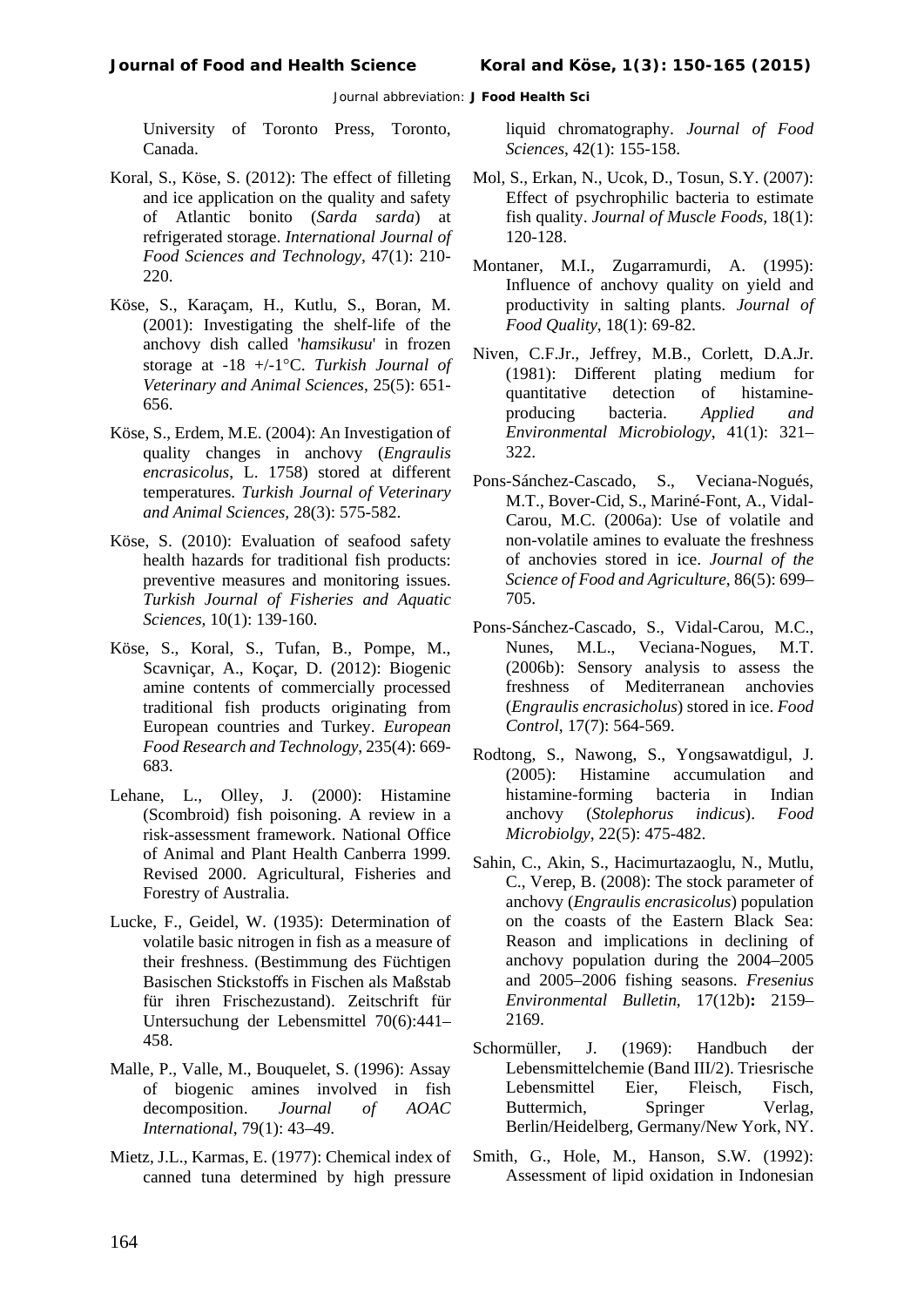University of Toronto Press, Toronto, Canada.

- Koral, S., Köse, S. (2012): The effect of filleting and ice application on the quality and safety of Atlantic bonito (*Sarda sarda*) at refrigerated storage. *International Journal of Food Sciences and Technology,* 47(1): 210- 220.
- Köse, S., Karaçam, H., Kutlu, S., Boran, M. (2001): Investigating the shelf-life of the anchovy dish called '*hamsikusu*' in frozen storage at -18 +/-1°C. *Turkish Journal of Veterinary and Animal Sciences*, 25(5): 651- 656.
- Köse, S., Erdem, M.E. (2004): An Investigation of quality changes in anchovy (*Engraulis encrasicolus*, L. 1758) stored at different temperatures. *Turkish Journal of Veterinary and Animal Sciences,* 28(3): 575-582.
- Köse, S. (2010): Evaluation of seafood safety health hazards for traditional fish products: preventive measures and monitoring issues. *Turkish Journal of Fisheries and Aquatic Sciences,* 10(1): 139-160.
- Köse, S., Koral, S., Tufan, B., Pompe, M., Scavniçar, A., Koçar, D. (2012): Biogenic amine contents of commercially processed traditional fish products originating from European countries and Turkey. *European Food Research and Technology*, 235(4): 669- 683.
- Lehane, L., Olley, J. (2000): Histamine (Scombroid) fish poisoning. A review in a risk-assessment framework. National Office of Animal and Plant Health Canberra 1999. Revised 2000. Agricultural, Fisheries and Forestry of Australia.
- Lucke, F., Geidel, W. (1935): Determination of volatile basic nitrogen in fish as a measure of their freshness. (Bestimmung des Füchtigen Basischen Stickstoffs in Fischen als Maßstab für ihren Frischezustand). Zeitschrift für Untersuchung der Lebensmittel 70(6):441– 458.
- Malle, P., Valle, M., Bouquelet, S. (1996): Assay of biogenic amines involved in fish decomposition. *Journal of AOAC International*, 79(1): 43–49.
- Mietz, J.L., Karmas, E. (1977): Chemical index of canned tuna determined by high pressure

liquid chromatography. *Journal of Food Sciences*, 42(1): 155-158.

- Mol, S., Erkan, N., Ucok, D., Tosun, S.Y. (2007): Effect of psychrophilic bacteria to estimate fish quality. *Journal of Muscle Foods*, 18(1): 120-128.
- [Montaner, M.I.](http://europepmc.org/search/?page=1&query=AUTH:%22Montaner+MI%22), [Zugarramurdi, A.](http://europepmc.org/search/?page=1&query=AUTH:%22Zugarramurdi+A%22) (1995): Influence of anchovy quality on yield and productivity in salting plants. *[Journal of](http://europepmc.org/search/?page=1&query=ISSN:%220146-9428%22)  [Food Quality](http://europepmc.org/search/?page=1&query=ISSN:%220146-9428%22)*, 18(1): 69-82.
- Niven, C.F.Jr., Jeffrey, M.B., Corlett, D.A.Jr. (1981): Different plating medium for quantitative producing bacteria. *Applied and Environmental Microbiology*, 41(1): 321– 322.
- Pons-Sánchez-Cascado, S., Veciana-Nogués, M.T., Bover-Cid, S., Mariné-Font, A., Vidal-Carou, M.C. (2006a): Use of volatile and non-volatile amines to evaluate the freshness of anchovies stored in ice. *Journal of the Science of Food and Agriculture*, 86(5): 699– 705.
- Pons-Sánchez-Cascado, S., Vidal-Carou, M.C., Nunes, M.L., Veciana-Nogues, M.T. (2006b): Sensory analysis to assess the freshness of Mediterranean anchovies (*Engraulis encrasicholus*) stored in ice. *Food Control*, 17(7): 564-569.
- Rodtong, S., Nawong, S., Yongsawatdigul, J. (2005): Histamine accumulation and histamine-forming bacteria in Indian anchovy (*Stolephorus indicus*). *Food Microbiolgy*, 22(5): 475-482.
- Sahin, C., Akin, S., Hacimurtazaoglu, N., Mutlu, C., Verep, B. (2008): The stock parameter of anchovy (*Engraulis encrasicolus*) population on the coasts of the Eastern Black Sea: Reason and implications in declining of anchovy population during the 2004–2005 and 2005–2006 fishing seasons. *Fresenius Environmental Bulletin*, 17(12b)**:** 2159– 2169.
- Schormüller, J. (1969): Handbuch der Lebensmittelchemie (Band III/2). Triesrische Lebensmittel Eier, Fleisch, Fisch, Buttermich, Springer Verlag, Berlin/Heidelberg, Germany/New York, NY.
- Smith, G., Hole, M., Hanson, S.W. (1992): Assessment of lipid oxidation in Indonesian